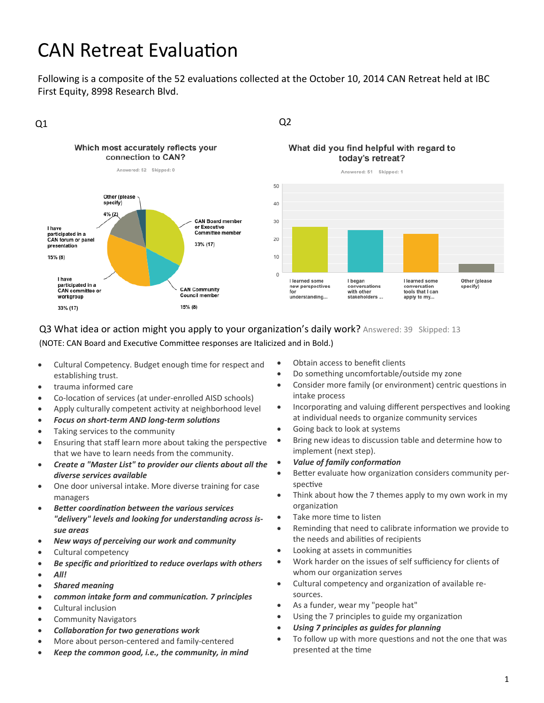# **CAN Retreat Evaluation**

Following is a composite of the 52 evaluations collected at the October 10, 2014 CAN Retreat held at IBC First Equity, 8998 Research Blvd.



### Q3 What idea or action might you apply to your organization's daily work? Answered: 39 Skipped: 13

(NOTE: CAN Board and Executive Committee responses are Italicized and in Bold.)

- Cultural Competency. Budget enough time for respect and establishing trust.
- trauma informed care
- Co-location of services (at under-enrolled AISD schools)
- Apply culturally competent activity at neighborhood level
- *Focus on short‐term AND long‐term soluƟons*
- Taking services to the community
- Ensuring that staff learn more about taking the perspective that we have to learn needs from the community.
- *Create a "Master List" to provider our clients about all the diverse services available*
- One door universal intake. More diverse training for case managers
- *BeƩer coordinaƟon between the various services "delivery" levels and looking for understanding across is‐ sue areas*
- *New ways of perceiving our work and community*
- Cultural competency
- *Be specific and prioriƟzed to reduce overlaps with others*
- *All!*
- *Shared meaning*
- *common intake form and communicaƟon. 7 principles*
- Cultural inclusion
- Community Navigators
- *CollaboraƟon for two generaƟons work*
- More about person‐centered and family‐centered
- *Keep the common good, i.e., the community, in mind*
- Obtain access to benefit clients
- Do something uncomfortable/outside my zone
- Consider more family (or environment) centric questions in intake process
- Incorporating and valuing different perspectives and looking at individual needs to organize community services
- Going back to look at systems
- Bring new ideas to discussion table and determine how to implement (next step).
- *Value of family conformaƟon*
- Better evaluate how organization considers community perspective
- Think about how the 7 themes apply to my own work in my organizaƟon
- Take more time to listen
- Reminding that need to calibrate information we provide to the needs and abilities of recipients
- Looking at assets in communities
- Work harder on the issues of self sufficiency for clients of whom our organization serves
- Cultural competency and organization of available resources.
- As a funder, wear my "people hat"
- Using the 7 principles to guide my organization
- *Using 7 principles as guides for planning*
- To follow up with more questions and not the one that was presented at the time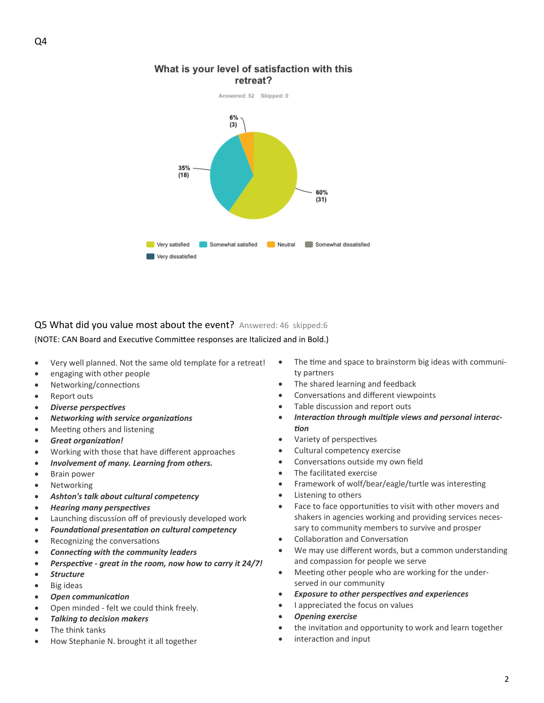

#### What is your level of satisfaction with this retreat?

## Q5 What did you value most about the event? Answered: 46 skipped:6

(NOTE: CAN Board and Executive Committee responses are Italicized and in Bold.)

- Very well planned. Not the same old template for a retreat!
- engaging with other people
- Networking/connections
- Report outs
- *Diverse perspecƟves*
- *Networking with service organizaƟons*
- Meeting others and listening
- *Great organizaƟon!*
- Working with those that have different approaches
- *Involvement of many. Learning from others.*
- Brain power
- Networking
- *Ashton's talk about cultural competency*
- *Hearing many perspecƟves*
- Launching discussion off of previously developed work
- *FoundaƟonal presentaƟon on cultural competency*
- Recognizing the conversations
- *ConnecƟng with the community leaders*
- *PerspecƟve ‐ great in the room, now how to carry it 24/7!*
- *Structure*
- Big ideas
- *Open communicaƟon*
- Open minded ‐ felt we could think freely.
- *Talking to decision makers*
- The think tanks
- How Stephanie N. brought it all together
- The time and space to brainstorm big ideas with community partners
- The shared learning and feedback
- Conversations and different viewpoints
- Table discussion and report outs
- *InteracƟon through mulƟple views and personal interac‐ Ɵon*
- Variety of perspectives
- Cultural competency exercise
- Conversations outside my own field
- The facilitated exercise
- Framework of wolf/bear/eagle/turtle was interesting
- Listening to others
- Face to face opportunities to visit with other movers and shakers in agencies working and providing services neces‐ sary to community members to survive and prosper
- Collaboration and Conversation
- We may use different words, but a common understanding and compassion for people we serve
- Meeting other people who are working for the underserved in our community
- *Exposure to other perspecƟves and experiences*
- I appreciated the focus on values
- *Opening exercise*
- the invitation and opportunity to work and learn together
- interaction and input